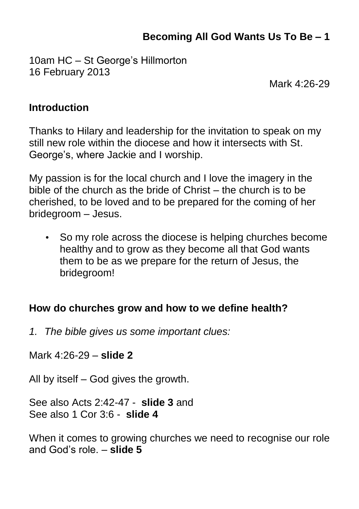# **Becoming All God Wants Us To Be – 1**

10am HC – St George's Hillmorton 16 February 2013

Mark 4:26-29

#### **Introduction**

Thanks to Hilary and leadership for the invitation to speak on my still new role within the diocese and how it intersects with St. George's, where Jackie and I worship.

My passion is for the local church and I love the imagery in the bible of the church as the bride of Christ – the church is to be cherished, to be loved and to be prepared for the coming of her bridegroom – Jesus.

• So my role across the diocese is helping churches become healthy and to grow as they become all that God wants them to be as we prepare for the return of Jesus, the bridegroom!

#### **How do churches grow and how to we define health?**

*1. The bible gives us some important clues:*

Mark 4:26-29 – **slide 2**

All by itself – God gives the growth.

See also Acts 2:42-47 - **slide 3** and See also 1 Cor 3:6 - **slide 4**

When it comes to growing churches we need to recognise our role and God's role. – **slide 5**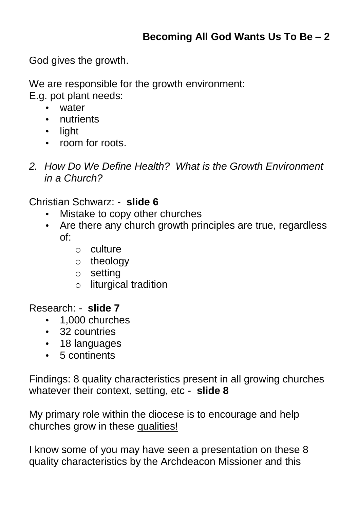God gives the growth.

We are responsible for the growth environment:

E.g. pot plant needs:

- water
- nutrients
- light
- room for roots.
- *2. How Do We Define Health? What is the Growth Environment in a Church?*

Christian Schwarz: - **slide 6**

- Mistake to copy other churches
- Are there any church growth principles are true, regardless of:
	- o culture
	- o theology
	- o setting
	- o liturgical tradition

Research: - **slide 7**

- 1,000 churches
- 32 countries
- 18 languages
- 5 continents

Findings: 8 quality characteristics present in all growing churches whatever their context, setting, etc - **slide 8**

My primary role within the diocese is to encourage and help churches grow in these qualities!

I know some of you may have seen a presentation on these 8 quality characteristics by the Archdeacon Missioner and this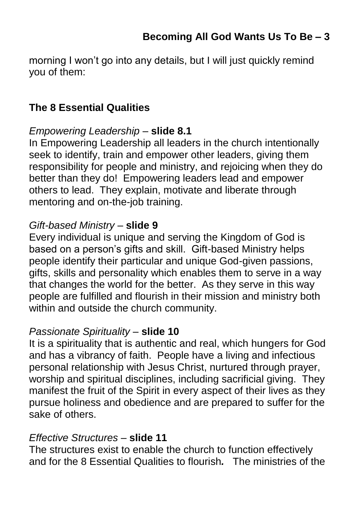morning I won't go into any details, but I will just quickly remind you of them:

### **The 8 Essential Qualities**

### *Empowering Leadership* – **slide 8.1**

In Empowering Leadership all leaders in the church intentionally seek to identify, train and empower other leaders, giving them responsibility for people and ministry, and rejoicing when they do better than they do! Empowering leaders lead and empower others to lead. They explain, motivate and liberate through mentoring and on-the-job training.

## *Gift-based Ministry* – **slide 9**

Every individual is unique and serving the Kingdom of God is based on a person's gifts and skill. Gift-based Ministry helps people identify their particular and unique God-given passions, gifts, skills and personality which enables them to serve in a way that changes the world for the better. As they serve in this way people are fulfilled and flourish in their mission and ministry both within and outside the church community.

#### *Passionate Spirituality* – **slide 10**

It is a spirituality that is authentic and real, which hungers for God and has a vibrancy of faith. People have a living and infectious personal relationship with Jesus Christ, nurtured through prayer, worship and spiritual disciplines, including sacrificial giving. They manifest the fruit of the Spirit in every aspect of their lives as they pursue holiness and obedience and are prepared to suffer for the sake of others.

## *Effective Structures* – **slide 11**

The structures exist to enable the church to function effectively and for the 8 Essential Qualities to flourish*.* The ministries of the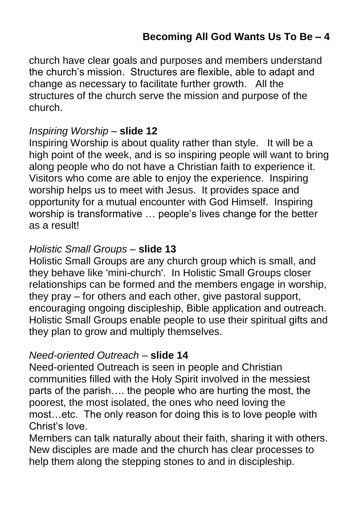church have clear goals and purposes and members understand the church's mission. Structures are flexible, able to adapt and change as necessary to facilitate further growth. All the structures of the church serve the mission and purpose of the church.

#### *Inspiring Worship* – **slide 12**

Inspiring Worship is about quality rather than style. It will be a high point of the week, and is so inspiring people will want to bring along people who do not have a Christian faith to experience it. Visitors who come are able to enjoy the experience. Inspiring worship helps us to meet with Jesus. It provides space and opportunity for a mutual encounter with God Himself. Inspiring worship is transformative … people's lives change for the better as a result!

#### *Holistic Small Groups* – **slide 13**

Holistic Small Groups are any church group which is small, and they behave like 'mini-church'. In Holistic Small Groups closer relationships can be formed and the members engage in worship, they pray – for others and each other, give pastoral support, encouraging ongoing discipleship, Bible application and outreach. Holistic Small Groups enable people to use their spiritual gifts and they plan to grow and multiply themselves.

## *Need-oriented Outreach* – **slide 14**

Need-oriented Outreach is seen in people and Christian communities filled with the Holy Spirit involved in the messiest parts of the parish…. the people who are hurting the most, the poorest, the most isolated, the ones who need loving the most…etc. The only reason for doing this is to love people with Christ's love.

Members can talk naturally about their faith, sharing it with others. New disciples are made and the church has clear processes to help them along the stepping stones to and in discipleship.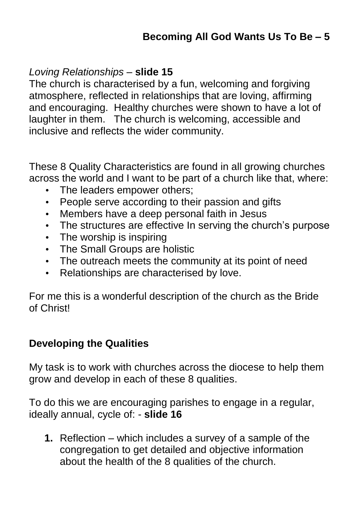## *Loving Relationships* – **slide 15**

The church is characterised by a fun, welcoming and forgiving atmosphere, reflected in relationships that are loving, affirming and encouraging. Healthy churches were shown to have a lot of laughter in them. The church is welcoming, accessible and inclusive and reflects the wider community.

These 8 Quality Characteristics are found in all growing churches across the world and I want to be part of a church like that, where:

- The leaders empower others;
- People serve according to their passion and gifts
- Members have a deep personal faith in Jesus
- The structures are effective In serving the church's purpose
- The worship is inspiring
- The Small Groups are holistic
- The outreach meets the community at its point of need
- Relationships are characterised by love.

For me this is a wonderful description of the church as the Bride of Christ!

## **Developing the Qualities**

My task is to work with churches across the diocese to help them grow and develop in each of these 8 qualities.

To do this we are encouraging parishes to engage in a regular, ideally annual, cycle of: - **slide 16**

**1.** Reflection – which includes a survey of a sample of the congregation to get detailed and objective information about the health of the 8 qualities of the church.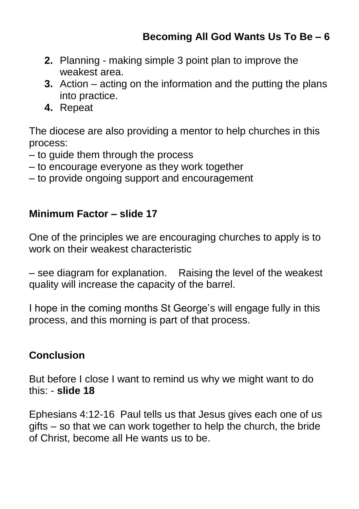- **2.** Planning making simple 3 point plan to improve the weakest area.
- **3.** Action acting on the information and the putting the plans into practice.
- **4.** Repeat

The diocese are also providing a mentor to help churches in this process:

- to guide them through the process
- to encourage everyone as they work together
- to provide ongoing support and encouragement

### **Minimum Factor – slide 17**

One of the principles we are encouraging churches to apply is to work on their weakest characteristic

– see diagram for explanation. Raising the level of the weakest quality will increase the capacity of the barrel.

I hope in the coming months St George's will engage fully in this process, and this morning is part of that process.

## **Conclusion**

But before I close I want to remind us why we might want to do this: - **slide 18**

Ephesians 4:12-16 Paul tells us that Jesus gives each one of us gifts – so that we can work together to help the church, the bride of Christ, become all He wants us to be.